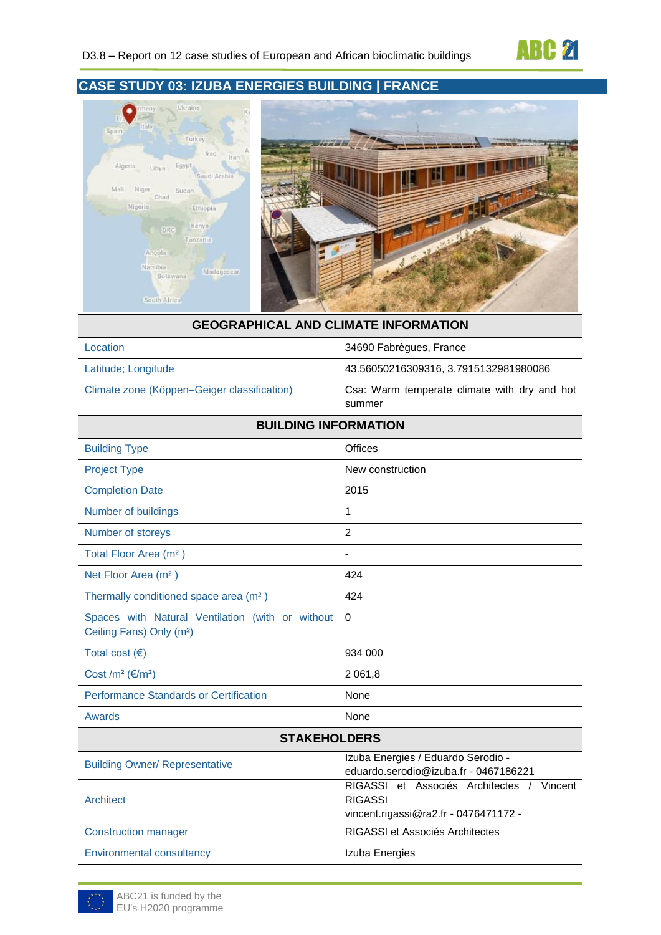

## **CASE STUDY 03: IZUBA ENERGIES BUILDING | FRANCE**



#### **GEOGRAPHICAL AND CLIMATE INFORMATION**

Latitude; Longitude 43.56050216309316, 3.7915132981980086

Climate zone (Köppen–Geiger classification) Csa: Warm temperate climate with dry and hot summer

34690 Fabrègues, France

| <b>BUILDING INFORMATION</b>                                                              |                                                                                                       |
|------------------------------------------------------------------------------------------|-------------------------------------------------------------------------------------------------------|
| <b>Building Type</b>                                                                     | Offices                                                                                               |
| <b>Project Type</b>                                                                      | New construction                                                                                      |
| <b>Completion Date</b>                                                                   | 2015                                                                                                  |
| Number of buildings                                                                      | 1                                                                                                     |
| Number of storeys                                                                        | $\overline{2}$                                                                                        |
| Total Floor Area (m <sup>2</sup> )                                                       |                                                                                                       |
| Net Floor Area (m <sup>2</sup> )                                                         | 424                                                                                                   |
| Thermally conditioned space area (m <sup>2</sup> )                                       | 424                                                                                                   |
| Spaces with Natural Ventilation (with or without<br>Ceiling Fans) Only (m <sup>2</sup> ) | $\Omega$                                                                                              |
| Total cost $(\epsilon)$                                                                  | 934 000                                                                                               |
| Cost /m <sup>2</sup> ( $\varepsilon$ /m <sup>2</sup> )                                   | 2 0 6 1 , 8                                                                                           |
| <b>Performance Standards or Certification</b>                                            | None                                                                                                  |
| Awards                                                                                   | None                                                                                                  |
| <b>STAKEHOLDERS</b>                                                                      |                                                                                                       |
| <b>Building Owner/ Representative</b>                                                    | Izuba Energies / Eduardo Serodio -<br>eduardo.serodio@izuba.fr - 0467186221                           |
| Architect                                                                                | RIGASSI et Associés Architectes<br>Vincent<br><b>RIGASSI</b><br>vincent.rigassi@ra2.fr - 0476471172 - |
| <b>Construction manager</b>                                                              | <b>RIGASSI et Associés Architectes</b>                                                                |

Environmental consultancy **Izuba Energies** 

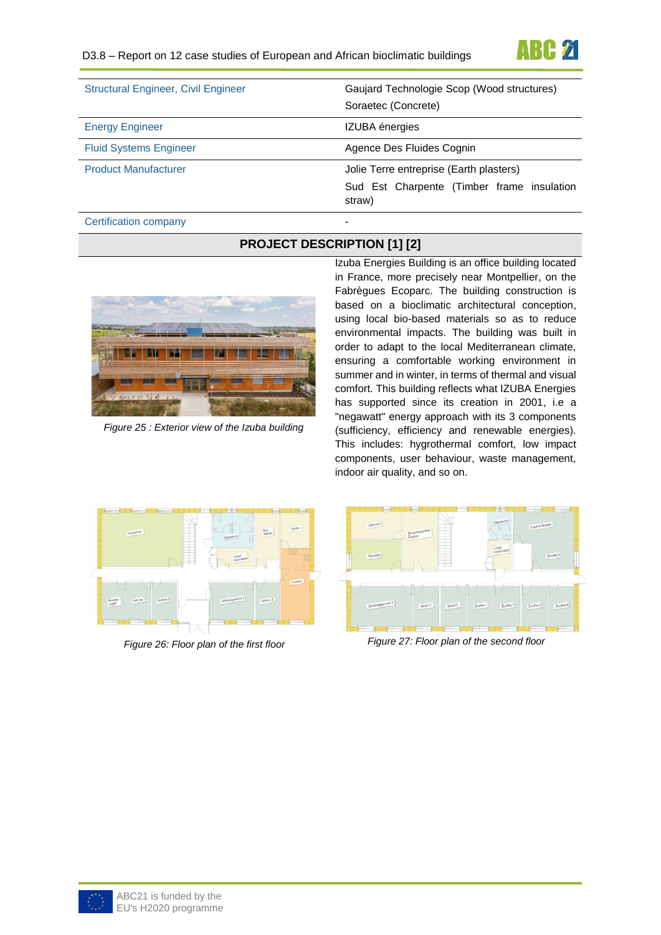

| <b>Structural Engineer, Civil Engineer</b> | Gaujard Technologie Scop (Wood structures)<br>Soraetec (Concrete)                               |
|--------------------------------------------|-------------------------------------------------------------------------------------------------|
| <b>Energy Engineer</b>                     | <b>IZUBA</b> énergies                                                                           |
| <b>Fluid Systems Engineer</b>              | Agence Des Fluides Cognin                                                                       |
| <b>Product Manufacturer</b>                | Jolie Terre entreprise (Earth plasters)<br>Sud Est Charpente (Timber frame insulation<br>straw) |

#### Certification company

### **PROJECT DESCRIPTION [1] [2]**



*Figure 25 : Exterior view of the Izuba building*

Izuba Energies Building is an office building located in France, more precisely near Montpellier, on the Fabrègues Ecoparc. The building construction is based on a bioclimatic architectural conception, using local bio-based materials so as to reduce environmental impacts. The building was built in order to adapt to the local Mediterranean climate, ensuring a comfortable working environment in summer and in winter, in terms of thermal and visual comfort. This building reflects what IZUBA Energies has supported since its creation in 2001, i.e a "negawatt" energy approach with its 3 components (sufficiency, efficiency and renewable energies). This includes: hygrothermal comfort, low impact components, user behaviour, waste management, indoor air quality, and so on.





*Figure 26: Floor plan of the first floor Figure 27: Floor plan of the second floor*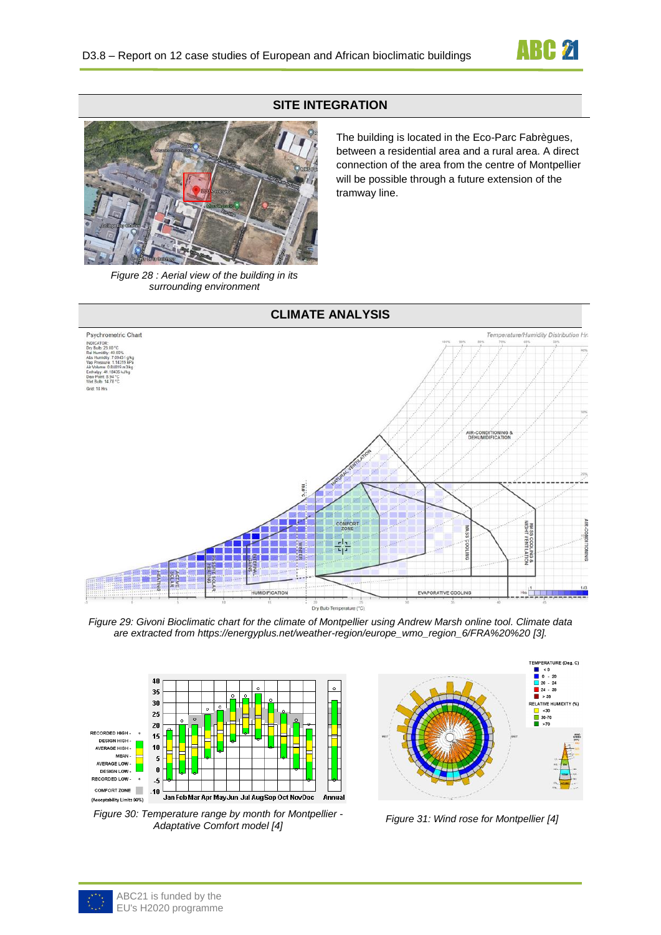

## **SITE INTEGRATION**



The building is located in the Eco-Parc Fabrègues, between a residential area and a rural area. A direct connection of the area from the centre of Montpellier will be possible through a future extension of the tramway line.

*Figure 28 : Aerial view of the building in its surrounding environment*



*Figure 29: Givoni Bioclimatic chart for the climate of Montpellier using Andrew Marsh online tool. Climate data are extracted from [https://energyplus.net/weather-region/europe\\_wmo\\_region\\_6/FRA%20%20](https://energyplus.net/weather-region/europe_wmo_region_6/FRA) [3].*



*Figure 30: Temperature range by month for Montpellier - Adaptative Comfort model [4] Figure 31: Wind rose for Montpellier [4]*

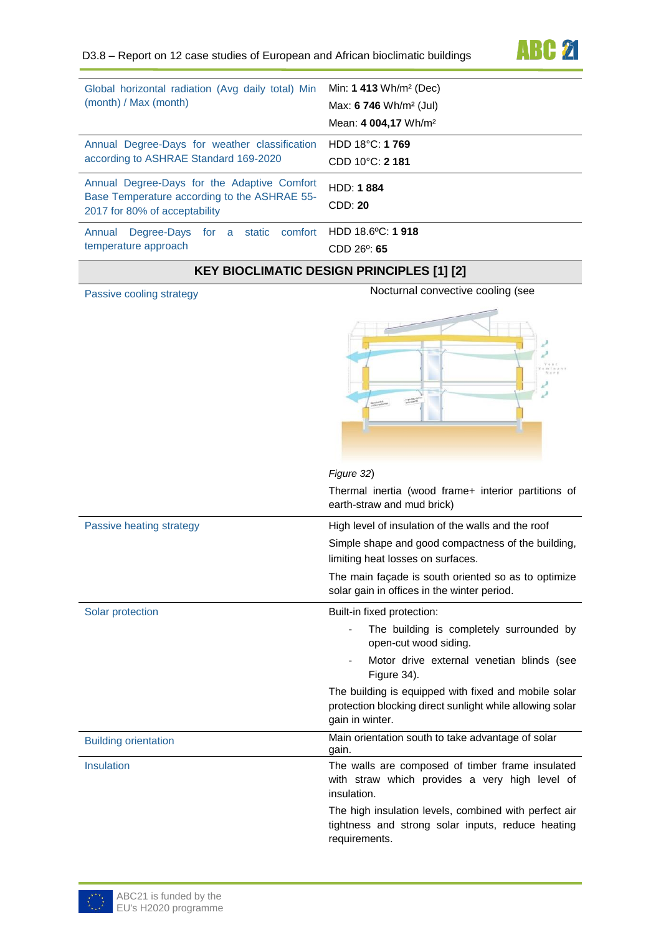| Global horizontal radiation (Avg daily total) Min<br>(month) / Max (month)                                                   | Min: $1413 \text{ Wh/m}^2 \text{ (Dec)}$<br>Max: $6746$ Wh/m <sup>2</sup> (Jul)<br>Mean: 4 004,17 Wh/m <sup>2</sup> |
|------------------------------------------------------------------------------------------------------------------------------|---------------------------------------------------------------------------------------------------------------------|
| Annual Degree-Days for weather classification<br>according to ASHRAE Standard 169-2020                                       | HDD $18^{\circ}$ C: 1769<br>CDD 10°C: 2 181                                                                         |
|                                                                                                                              |                                                                                                                     |
| Annual Degree-Days for the Adaptive Comfort<br>Base Temperature according to the ASHRAE 55-<br>2017 for 80% of acceptability | <b>HDD: 1884</b><br>CDD: 20                                                                                         |

## **KEY BIOCLIMATIC DESIGN PRINCIPLES [1] [2]**

Passive cooling strategy Nocturnal convective cooling (see



|                             | Figure 32)                                                                                                                          |
|-----------------------------|-------------------------------------------------------------------------------------------------------------------------------------|
|                             | Thermal inertia (wood frame+ interior partitions of<br>earth-straw and mud brick)                                                   |
| Passive heating strategy    | High level of insulation of the walls and the roof                                                                                  |
|                             | Simple shape and good compactness of the building,                                                                                  |
|                             | limiting heat losses on surfaces.                                                                                                   |
|                             | The main façade is south oriented so as to optimize<br>solar gain in offices in the winter period.                                  |
| Solar protection            | Built-in fixed protection:                                                                                                          |
|                             | The building is completely surrounded by<br>open-cut wood siding.                                                                   |
|                             | Motor drive external venetian blinds (see<br>Figure 34).                                                                            |
|                             | The building is equipped with fixed and mobile solar<br>protection blocking direct sunlight while allowing solar<br>gain in winter. |
| <b>Building orientation</b> | Main orientation south to take advantage of solar<br>gain.                                                                          |
| Insulation                  | The walls are composed of timber frame insulated<br>with straw which provides a very high level of<br>insulation.                   |
|                             | The high insulation levels, combined with perfect air<br>tightness and strong solar inputs, reduce heating                          |

requirements.



**ABC 21**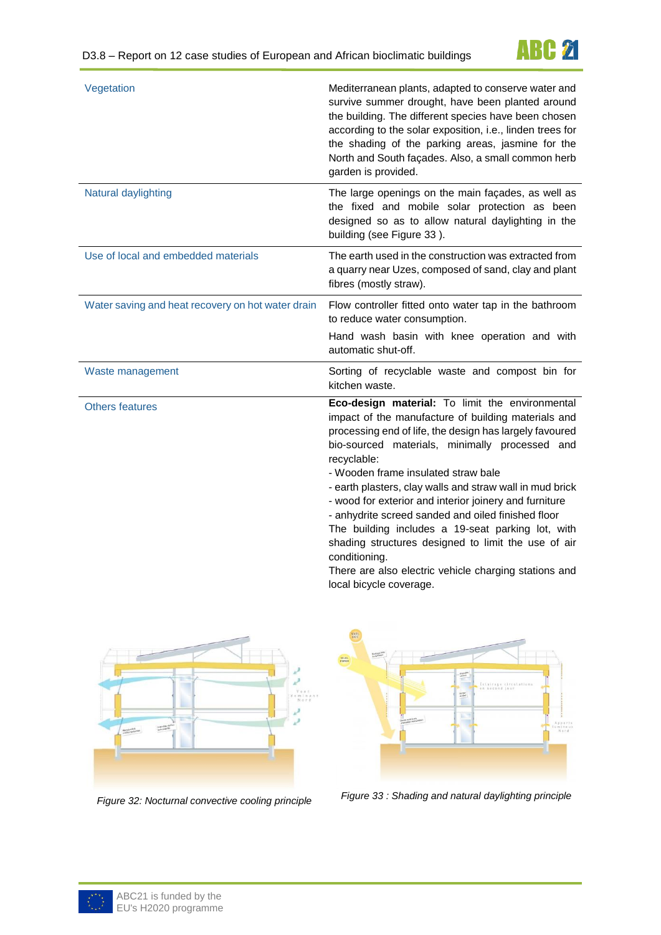

| Vegetation                                        | Mediterranean plants, adapted to conserve water and<br>survive summer drought, have been planted around<br>the building. The different species have been chosen<br>according to the solar exposition, i.e., linden trees for<br>the shading of the parking areas, jasmine for the<br>North and South façades. Also, a small common herb<br>garden is provided.                                                                                                                                                                                                                                                                              |
|---------------------------------------------------|---------------------------------------------------------------------------------------------------------------------------------------------------------------------------------------------------------------------------------------------------------------------------------------------------------------------------------------------------------------------------------------------------------------------------------------------------------------------------------------------------------------------------------------------------------------------------------------------------------------------------------------------|
| Natural daylighting                               | The large openings on the main façades, as well as<br>the fixed and mobile solar protection as been<br>designed so as to allow natural daylighting in the<br>building (see Figure 33).                                                                                                                                                                                                                                                                                                                                                                                                                                                      |
| Use of local and embedded materials               | The earth used in the construction was extracted from<br>a quarry near Uzes, composed of sand, clay and plant<br>fibres (mostly straw).                                                                                                                                                                                                                                                                                                                                                                                                                                                                                                     |
| Water saving and heat recovery on hot water drain | Flow controller fitted onto water tap in the bathroom<br>to reduce water consumption.                                                                                                                                                                                                                                                                                                                                                                                                                                                                                                                                                       |
|                                                   | Hand wash basin with knee operation and with<br>automatic shut-off.                                                                                                                                                                                                                                                                                                                                                                                                                                                                                                                                                                         |
| Waste management                                  | Sorting of recyclable waste and compost bin for<br>kitchen waste.                                                                                                                                                                                                                                                                                                                                                                                                                                                                                                                                                                           |
| <b>Others features</b>                            | Eco-design material: To limit the environmental<br>impact of the manufacture of building materials and<br>processing end of life, the design has largely favoured<br>bio-sourced materials, minimally processed and<br>recyclable:<br>- Wooden frame insulated straw bale<br>- earth plasters, clay walls and straw wall in mud brick<br>- wood for exterior and interior joinery and furniture<br>- anhydrite screed sanded and oiled finished floor<br>The building includes a 19-seat parking lot, with<br>shading structures designed to limit the use of air<br>conditioning.<br>There are also electric vehicle charging stations and |

<span id="page-4-0"></span>

<span id="page-4-1"></span>

local bicycle coverage.

*Figure 32: Nocturnal convective cooling principle Figure 33 : Shading and natural daylighting principle*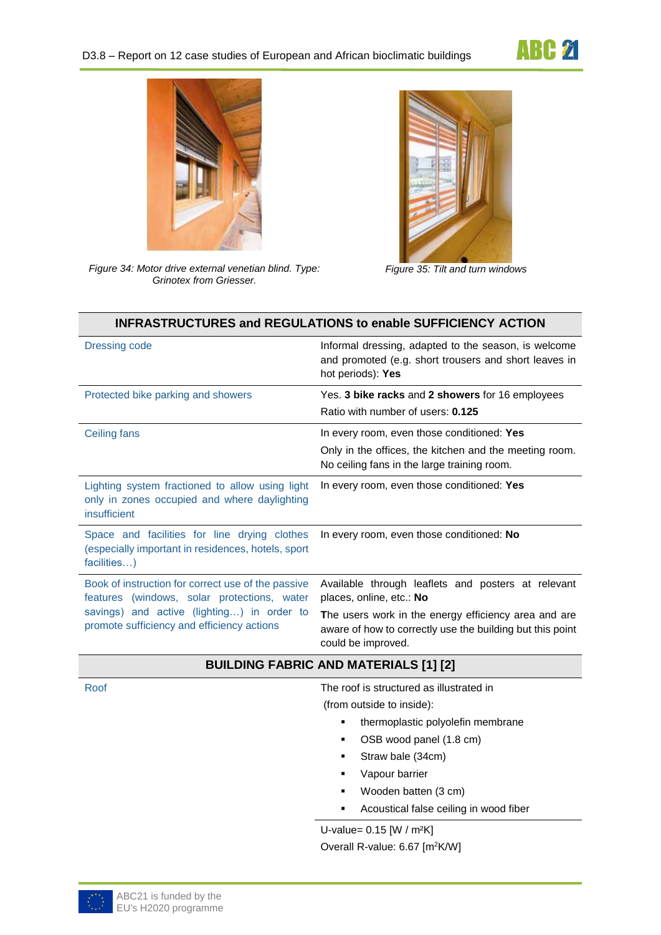



*Figure 34: Motor drive external venetian blind. Type: Grinotex from Griesser.*



*Figure 35: Tilt and turn windows*

<span id="page-5-0"></span>

|                                                                                                                   | <b>INFRASTRUCTURES and REGULATIONS to enable SUFFICIENCY ACTION</b>                                                                                                                    |  |
|-------------------------------------------------------------------------------------------------------------------|----------------------------------------------------------------------------------------------------------------------------------------------------------------------------------------|--|
| <b>Dressing code</b>                                                                                              | Informal dressing, adapted to the season, is welcome<br>and promoted (e.g. short trousers and short leaves in<br>hot periods): Yes                                                     |  |
| Protected bike parking and showers                                                                                | Yes. 3 bike racks and 2 showers for 16 employees<br>Ratio with number of users: 0.125                                                                                                  |  |
| Ceiling fans                                                                                                      | In every room, even those conditioned: Yes<br>Only in the offices, the kitchen and the meeting room.<br>No ceiling fans in the large training room.                                    |  |
| Lighting system fractioned to allow using light<br>only in zones occupied and where daylighting<br>insufficient   | In every room, even those conditioned: Yes                                                                                                                                             |  |
| Space and facilities for line drying clothes<br>(especially important in residences, hotels, sport<br>facilities) | In every room, even those conditioned: No                                                                                                                                              |  |
| Book of instruction for correct use of the passive<br>features (windows, solar protections, water                 | Available through leaflets and posters at relevant<br>places, online, etc.: No                                                                                                         |  |
| savings) and active (lighting) in order to<br>promote sufficiency and efficiency actions                          | The users work in the energy efficiency area and are<br>aware of how to correctly use the building but this point<br>could be improved.                                                |  |
| <b>BUILDING FABRIC AND MATERIALS [1] [2]</b>                                                                      |                                                                                                                                                                                        |  |
| Roof                                                                                                              | The roof is structured as illustrated in<br>(from outside to inside):<br>thermoplastic polyolefin membrane<br>٠<br>OSB wood panel (1.8 cm)<br>٠<br>Straw bale (34cm)<br>Vapour barrier |  |

- Wooden batten (3 cm)
- **Acoustical false ceiling in wood fiber**

U-value= 0.15 [W / m²K] Overall R-value: 6.67 [m<sup>2</sup>K/W]

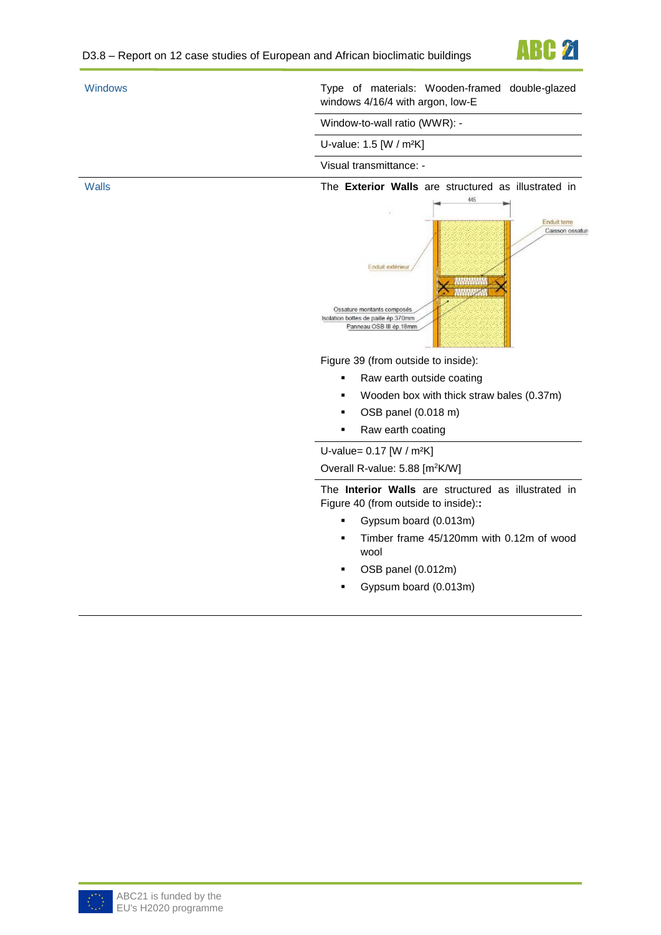

| <b>Windows</b> | Type of materials: Wooden-framed double-glazed<br>windows 4/16/4 with argon, low-E                                                                                                                                |
|----------------|-------------------------------------------------------------------------------------------------------------------------------------------------------------------------------------------------------------------|
|                | Window-to-wall ratio (WWR): -                                                                                                                                                                                     |
|                | U-value: 1.5 [W / m <sup>2</sup> K]                                                                                                                                                                               |
|                | Visual transmittance: -                                                                                                                                                                                           |
| <b>Walls</b>   | The Exterior Walls are structured as illustrated in<br>445<br>Enduit terre<br>Caisson ossatun<br>Enduit exterieur<br>Ossature montants composés<br>Isolation bottes de paille ép 370mm<br>Panneau OSB III ép.18mm |
|                | Figure 39 (from outside to inside):                                                                                                                                                                               |
|                | Raw earth outside coating                                                                                                                                                                                         |
|                | Wooden box with thick straw bales (0.37m)<br>٠                                                                                                                                                                    |
|                | OSB panel (0.018 m)<br>٠                                                                                                                                                                                          |
|                | Raw earth coating<br>٠                                                                                                                                                                                            |
|                | U-value= 0.17 [W / m <sup>2</sup> K]                                                                                                                                                                              |
|                | Overall R-value: 5.88 [m <sup>2</sup> K/W]                                                                                                                                                                        |
|                | The Interior Walls are structured as illustrated in<br>Figure 40 (from outside to inside)::                                                                                                                       |
|                | Gypsum board (0.013m)<br>٠                                                                                                                                                                                        |
|                | Timber frame 45/120mm with 0.12m of wood<br>٠<br>wool                                                                                                                                                             |
|                | OSB panel (0.012m)                                                                                                                                                                                                |
|                | Gypsum board (0.013m)<br>٠                                                                                                                                                                                        |
|                |                                                                                                                                                                                                                   |

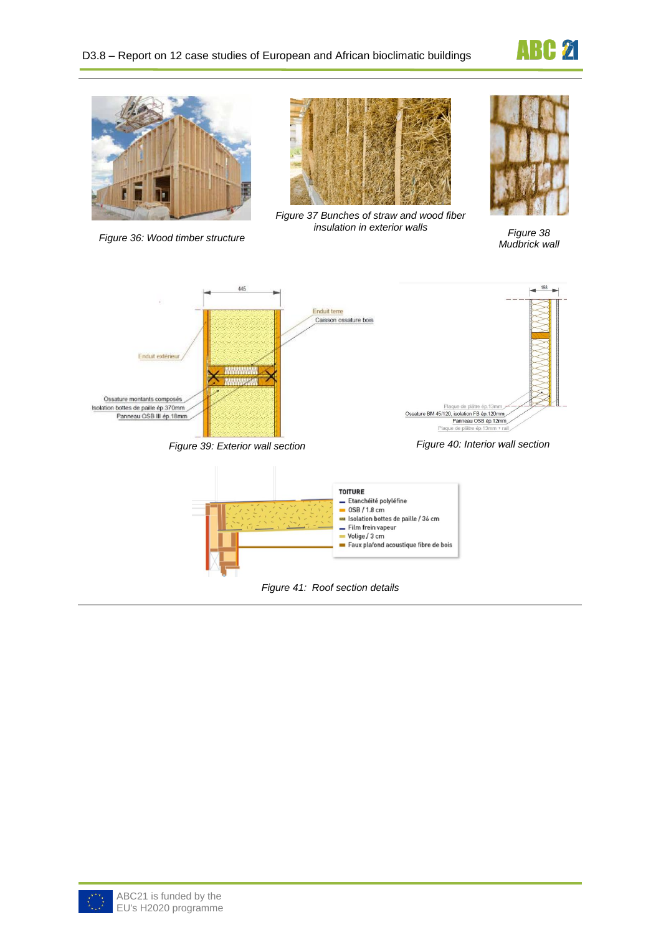



*Figure 36: Wood timber structure*



*Figure 37 Bunches of straw and wood fiber insulation in exterior walls Figure 38*

<span id="page-7-2"></span><span id="page-7-0"></span>

*Mudbrick wall*

<span id="page-7-1"></span>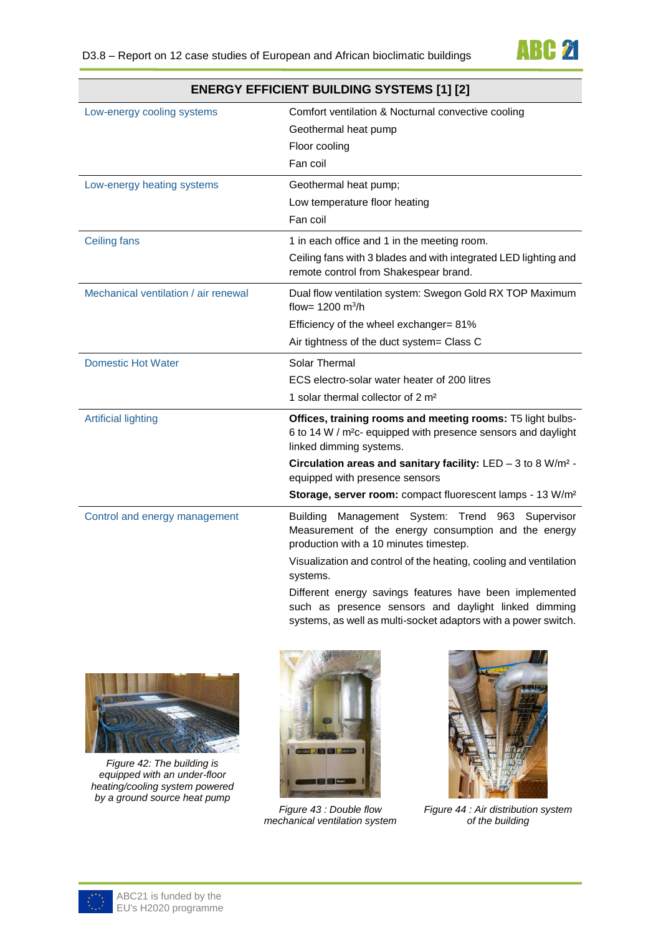

| <b>ENERGY EFFICIENT BUILDING SYSTEMS [1] [2]</b> |                                                                                                                                                                                   |
|--------------------------------------------------|-----------------------------------------------------------------------------------------------------------------------------------------------------------------------------------|
| Low-energy cooling systems                       | Comfort ventilation & Nocturnal convective cooling                                                                                                                                |
|                                                  | Geothermal heat pump                                                                                                                                                              |
|                                                  | Floor cooling                                                                                                                                                                     |
|                                                  | Fan coil                                                                                                                                                                          |
| Low-energy heating systems                       | Geothermal heat pump;                                                                                                                                                             |
|                                                  | Low temperature floor heating                                                                                                                                                     |
|                                                  | Fan coil                                                                                                                                                                          |
| <b>Ceiling fans</b>                              | 1 in each office and 1 in the meeting room.                                                                                                                                       |
|                                                  | Ceiling fans with 3 blades and with integrated LED lighting and<br>remote control from Shakespear brand.                                                                          |
| Mechanical ventilation / air renewal             | Dual flow ventilation system: Swegon Gold RX TOP Maximum<br>flow= 1200 $m^3/h$                                                                                                    |
|                                                  | Efficiency of the wheel exchanger= 81%                                                                                                                                            |
|                                                  | Air tightness of the duct system= Class C                                                                                                                                         |
| <b>Domestic Hot Water</b>                        | <b>Solar Thermal</b>                                                                                                                                                              |
|                                                  | ECS electro-solar water heater of 200 litres                                                                                                                                      |
|                                                  | 1 solar thermal collector of 2 m <sup>2</sup>                                                                                                                                     |
| <b>Artificial lighting</b>                       | Offices, training rooms and meeting rooms: T5 light bulbs-                                                                                                                        |
|                                                  | 6 to 14 W / m <sup>2</sup> c- equipped with presence sensors and daylight                                                                                                         |
|                                                  | linked dimming systems.<br>Circulation areas and sanitary facility: $LED - 3$ to 8 W/m <sup>2</sup> -                                                                             |
|                                                  | equipped with presence sensors                                                                                                                                                    |
|                                                  | Storage, server room: compact fluorescent lamps - 13 W/m <sup>2</sup>                                                                                                             |
| Control and energy management                    | Management System: Trend 963 Supervisor<br><b>Building</b><br>Measurement of the energy consumption and the energy<br>production with a 10 minutes timestep.                      |
|                                                  | Visualization and control of the heating, cooling and ventilation<br>systems.                                                                                                     |
|                                                  | Different energy savings features have been implemented<br>such as presence sensors and daylight linked dimming<br>systems, as well as multi-socket adaptors with a power switch. |





*Figure 42: The building is equipped with an under-floor heating/cooling system powered by a ground source heat pump*



*Figure 43 : Double flow mechanical ventilation system*



*Figure 44 : Air distribution system of the building*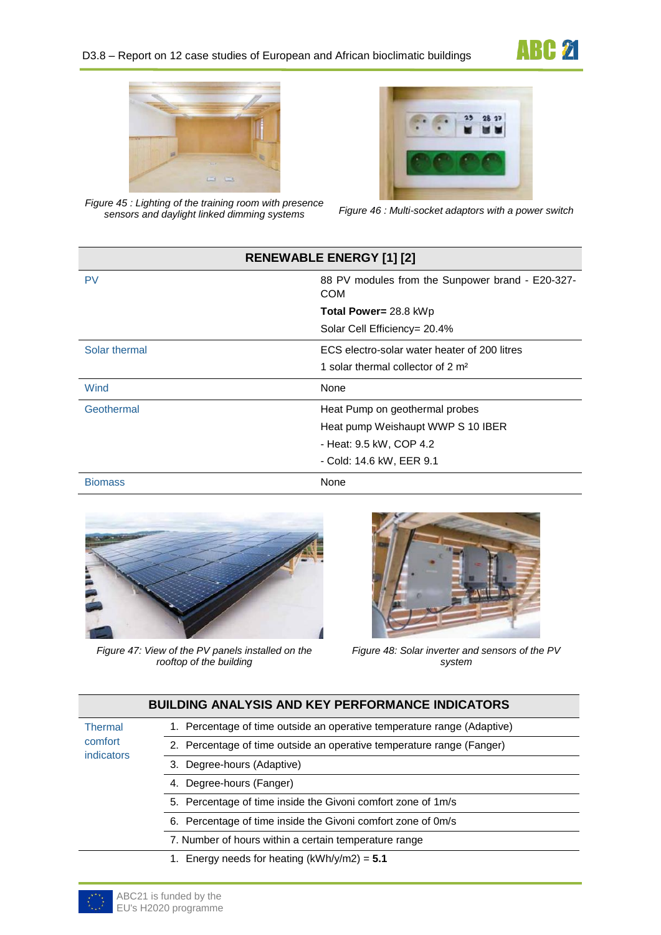



*Figure 45 : Lighting of the training room with presence* 



*sensors and daylight linked dimming systems Figure 46 : Multi-socket adaptors with a power switch*

| <b>RENEWABLE ENERGY [1] [2]</b> |                                                         |
|---------------------------------|---------------------------------------------------------|
| PV                              | 88 PV modules from the Sunpower brand - E20-327-<br>COM |
|                                 | <b>Total Power= 28.8 kWp</b>                            |
|                                 | Solar Cell Efficiency= 20.4%                            |
| Solar thermal                   | ECS electro-solar water heater of 200 litres            |
|                                 | 1 solar thermal collector of 2 m <sup>2</sup>           |
| Wind                            | None                                                    |
| Geothermal                      | Heat Pump on geothermal probes                          |
|                                 | Heat pump Weishaupt WWP S 10 IBER                       |
|                                 | - Heat: 9.5 kW, COP 4.2                                 |
|                                 | - Cold: 14.6 kW, EER 9.1                                |
| <b>Biomass</b>                  | None                                                    |



*Figure 47: View of the PV panels installed on the rooftop of the building*



*Figure 48: Solar inverter and sensors of the PV system*

|                                         | <b>BUILDING ANALYSIS AND KEY PERFORMANCE INDICATORS</b>                 |
|-----------------------------------------|-------------------------------------------------------------------------|
| <b>Thermal</b><br>comfort<br>indicators | 1. Percentage of time outside an operative temperature range (Adaptive) |
|                                         | 2. Percentage of time outside an operative temperature range (Fanger)   |
|                                         | 3. Degree-hours (Adaptive)                                              |
|                                         | 4. Degree-hours (Fanger)                                                |
|                                         | 5. Percentage of time inside the Givoni comfort zone of 1m/s            |
|                                         | 6. Percentage of time inside the Givoni comfort zone of 0m/s            |
|                                         | 7. Number of hours within a certain temperature range                   |
|                                         | 1. Energy needs for heating $(kWh/y/m2) = 5.1$                          |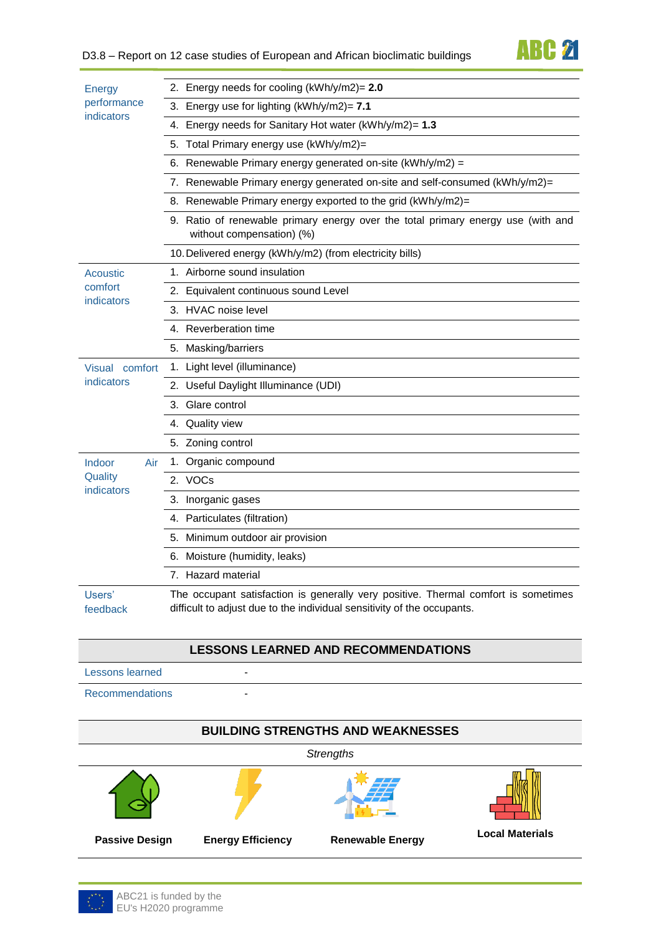# **ABC 21**

| <b>Energy</b>                          | 2. Energy needs for cooling (kWh/y/m2)= 2.0                                                                                                                   |
|----------------------------------------|---------------------------------------------------------------------------------------------------------------------------------------------------------------|
| performance<br>indicators              | 3. Energy use for lighting (kWh/y/m2)= 7.1                                                                                                                    |
|                                        | 4. Energy needs for Sanitary Hot water (kWh/y/m2)= 1.3                                                                                                        |
|                                        | Total Primary energy use (kWh/y/m2)=<br>5.                                                                                                                    |
|                                        | 6. Renewable Primary energy generated on-site ( $kWh/y/m2$ ) =                                                                                                |
|                                        | 7. Renewable Primary energy generated on-site and self-consumed (kWh/y/m2)=                                                                                   |
|                                        | 8. Renewable Primary energy exported to the grid (kWh/y/m2)=                                                                                                  |
|                                        | 9. Ratio of renewable primary energy over the total primary energy use (with and<br>without compensation) (%)                                                 |
|                                        | 10. Delivered energy (kWh/y/m2) (from electricity bills)                                                                                                      |
| <b>Acoustic</b>                        | 1. Airborne sound insulation                                                                                                                                  |
| comfort                                | 2. Equivalent continuous sound Level                                                                                                                          |
| indicators                             | 3. HVAC noise level                                                                                                                                           |
|                                        | 4. Reverberation time                                                                                                                                         |
|                                        | 5. Masking/barriers                                                                                                                                           |
| Visual comfort<br>indicators           | 1. Light level (illuminance)                                                                                                                                  |
|                                        | 2. Useful Daylight Illuminance (UDI)                                                                                                                          |
|                                        | 3. Glare control                                                                                                                                              |
|                                        | 4. Quality view                                                                                                                                               |
|                                        | 5. Zoning control                                                                                                                                             |
| Indoor<br>Air<br>Quality<br>indicators | 1. Organic compound                                                                                                                                           |
|                                        | 2. VOCs                                                                                                                                                       |
|                                        | 3. Inorganic gases                                                                                                                                            |
|                                        | 4. Particulates (filtration)                                                                                                                                  |
|                                        | 5. Minimum outdoor air provision                                                                                                                              |
|                                        | 6. Moisture (humidity, leaks)                                                                                                                                 |
|                                        | 7. Hazard material                                                                                                                                            |
| Users'<br>feedback                     | The occupant satisfaction is generally very positive. Thermal comfort is sometimes<br>difficult to adjust due to the individual sensitivity of the occupants. |

#### **LESSONS LEARNED AND RECOMMENDATIONS**

Lessons learned -

Recommendations -